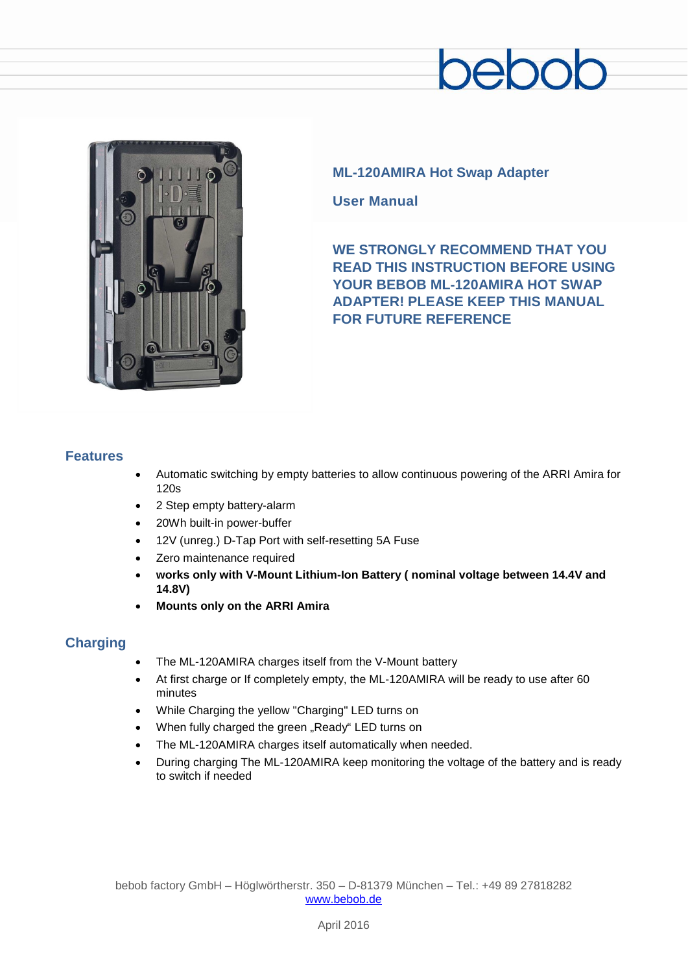# $200$



## **ML-120AMIRA Hot Swap Adapter**

**User Manual**

**WE STRONGLY RECOMMEND THAT YOU READ THIS INSTRUCTION BEFORE USING YOUR BEBOB ML-120AMIRA HOT SWAP ADAPTER! PLEASE KEEP THIS MANUAL FOR FUTURE REFERENCE**

#### **Features**

- Automatic switching by empty batteries to allow continuous powering of the ARRI Amira for 120s
- 2 Step empty battery-alarm
- 20Wh built-in power-buffer
- 12V (unreg.) D-Tap Port with self-resetting 5A Fuse
- Zero maintenance required
- **works only with V-Mount Lithium-Ion Battery ( nominal voltage between 14.4V and 14.8V)**
- **Mounts only on the ARRI Amira**

# **Charging**

- The ML-120AMIRA charges itself from the V-Mount battery
- At first charge or If completely empty, the ML-120AMIRA will be ready to use after 60 minutes
- While Charging the yellow "Charging" LED turns on
- When fully charged the green "Ready" LED turns on
- The ML-120AMIRA charges itself automatically when needed.
- During charging The ML-120AMIRA keep monitoring the voltage of the battery and is ready to switch if needed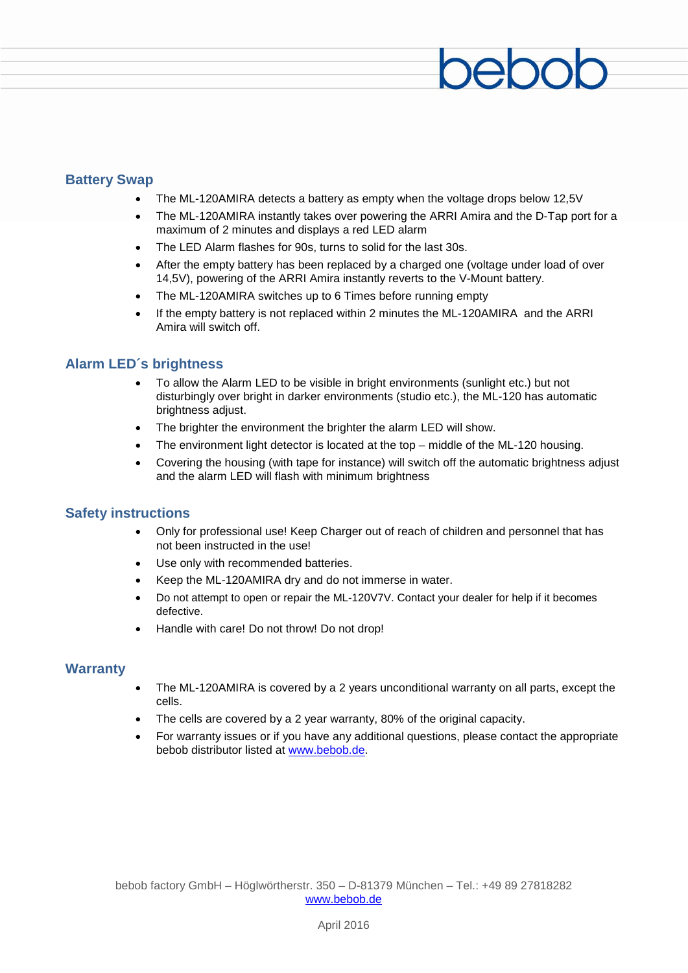### **Battery Swap**

- The ML-120AMIRA detects a battery as empty when the voltage drops below 12,5V
- The ML-120AMIRA instantly takes over powering the ARRI Amira and the D-Tap port for a maximum of 2 minutes and displays a red LED alarm
- The LED Alarm flashes for 90s, turns to solid for the last 30s.
- After the empty battery has been replaced by a charged one (voltage under load of over 14,5V), powering of the ARRI Amira instantly reverts to the V-Mount battery.
- The ML-120AMIRA switches up to 6 Times before running empty
- If the empty battery is not replaced within 2 minutes the ML-120AMIRA and the ARRI Amira will switch off.

#### **Alarm LED´s brightness**

- To allow the Alarm LED to be visible in bright environments (sunlight etc.) but not disturbingly over bright in darker environments (studio etc.), the ML-120 has automatic brightness adjust.
- The brighter the environment the brighter the alarm LED will show.
- The environment light detector is located at the top  $-$  middle of the ML-120 housing.
- Covering the housing (with tape for instance) will switch off the automatic brightness adjust and the alarm LED will flash with minimum brightness

#### **Safety instructions**

- Only for professional use! Keep Charger out of reach of children and personnel that has not been instructed in the use!
- Use only with recommended batteries.
- Keep the ML-120AMIRA dry and do not immerse in water.
- Do not attempt to open or repair the ML-120V7V. Contact your dealer for help if it becomes defective.
- Handle with care! Do not throw! Do not drop!

#### **Warranty**

- The ML-120AMIRA is covered by a 2 years unconditional warranty on all parts, except the cells.
- The cells are covered by a 2 year warranty, 80% of the original capacity.
- For warranty issues or if you have any additional questions, please contact the appropriate bebob distributor listed at [www.bebob.de.](http://www.bebob.de/)